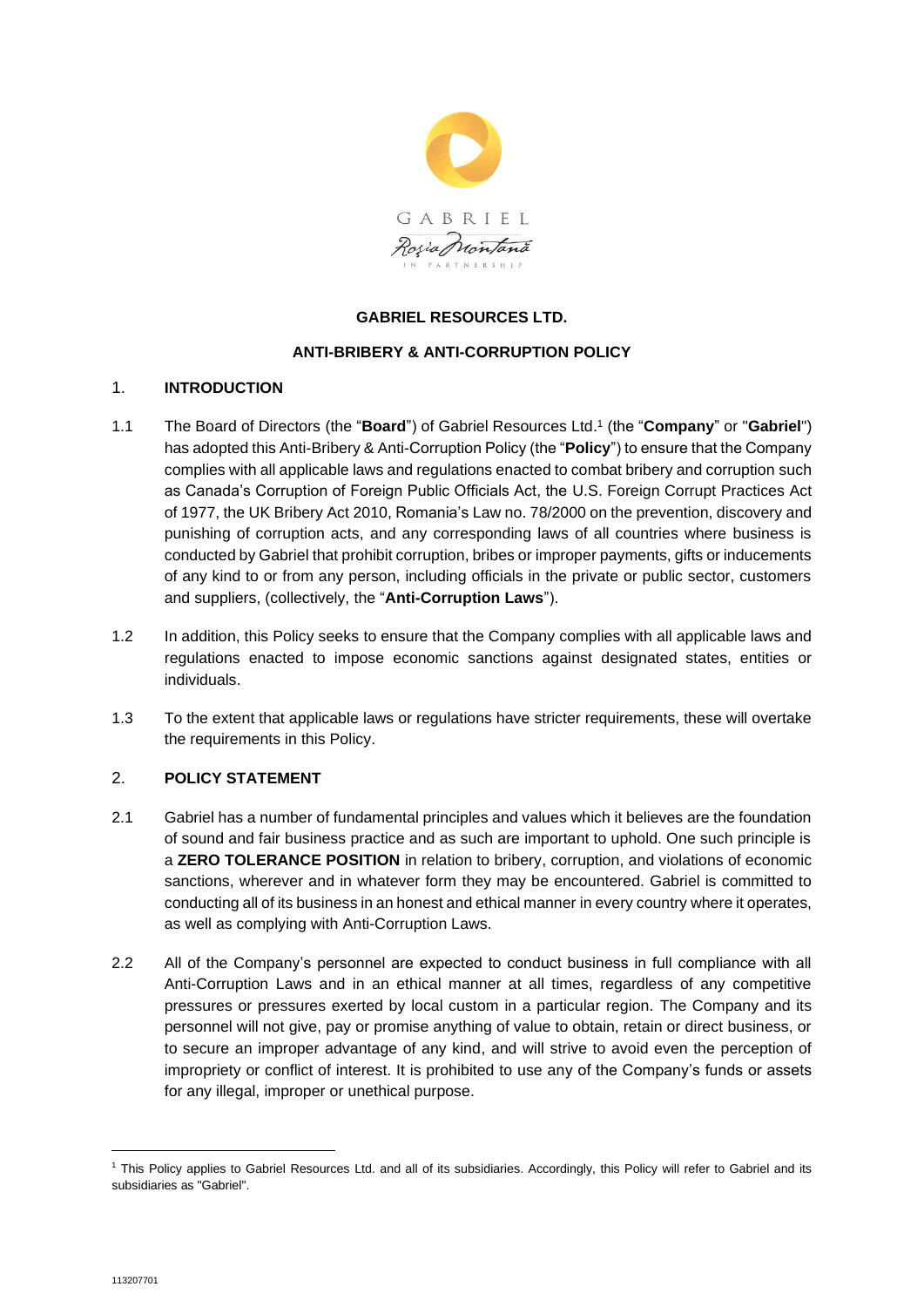

# **GABRIEL RESOURCES LTD.**

# **ANTI-BRIBERY & ANTI-CORRUPTION POLICY**

## 1. **INTRODUCTION**

- 1.1 The Board of Directors (the "**Board**") of Gabriel Resources Ltd. 1 (the "**Company**" or "**Gabriel**") has adopted this Anti-Bribery & Anti-Corruption Policy (the "**Policy**") to ensure that the Company complies with all applicable laws and regulations enacted to combat bribery and corruption such as Canada's Corruption of Foreign Public Officials Act, the U.S. Foreign Corrupt Practices Act of 1977, the UK Bribery Act 2010, Romania's Law no. 78/2000 on the prevention, discovery and punishing of corruption acts, and any corresponding laws of all countries where business is conducted by Gabriel that prohibit corruption, bribes or improper payments, gifts or inducements of any kind to or from any person, including officials in the private or public sector, customers and suppliers, (collectively, the "**Anti-Corruption Laws**").
- 1.2 In addition, this Policy seeks to ensure that the Company complies with all applicable laws and regulations enacted to impose economic sanctions against designated states, entities or individuals.
- 1.3 To the extent that applicable laws or regulations have stricter requirements, these will overtake the requirements in this Policy.

# 2. **POLICY STATEMENT**

- 2.1 Gabriel has a number of fundamental principles and values which it believes are the foundation of sound and fair business practice and as such are important to uphold. One such principle is a **ZERO TOLERANCE POSITION** in relation to bribery, corruption, and violations of economic sanctions, wherever and in whatever form they may be encountered. Gabriel is committed to conducting all of its business in an honest and ethical manner in every country where it operates, as well as complying with Anti-Corruption Laws.
- 2.2 All of the Company's personnel are expected to conduct business in full compliance with all Anti-Corruption Laws and in an ethical manner at all times, regardless of any competitive pressures or pressures exerted by local custom in a particular region. The Company and its personnel will not give, pay or promise anything of value to obtain, retain or direct business, or to secure an improper advantage of any kind, and will strive to avoid even the perception of impropriety or conflict of interest. It is prohibited to use any of the Company's funds or assets for any illegal, improper or unethical purpose.

<sup>&</sup>lt;sup>1</sup> This Policy applies to Gabriel Resources Ltd. and all of its subsidiaries. Accordingly, this Policy will refer to Gabriel and its subsidiaries as "Gabriel".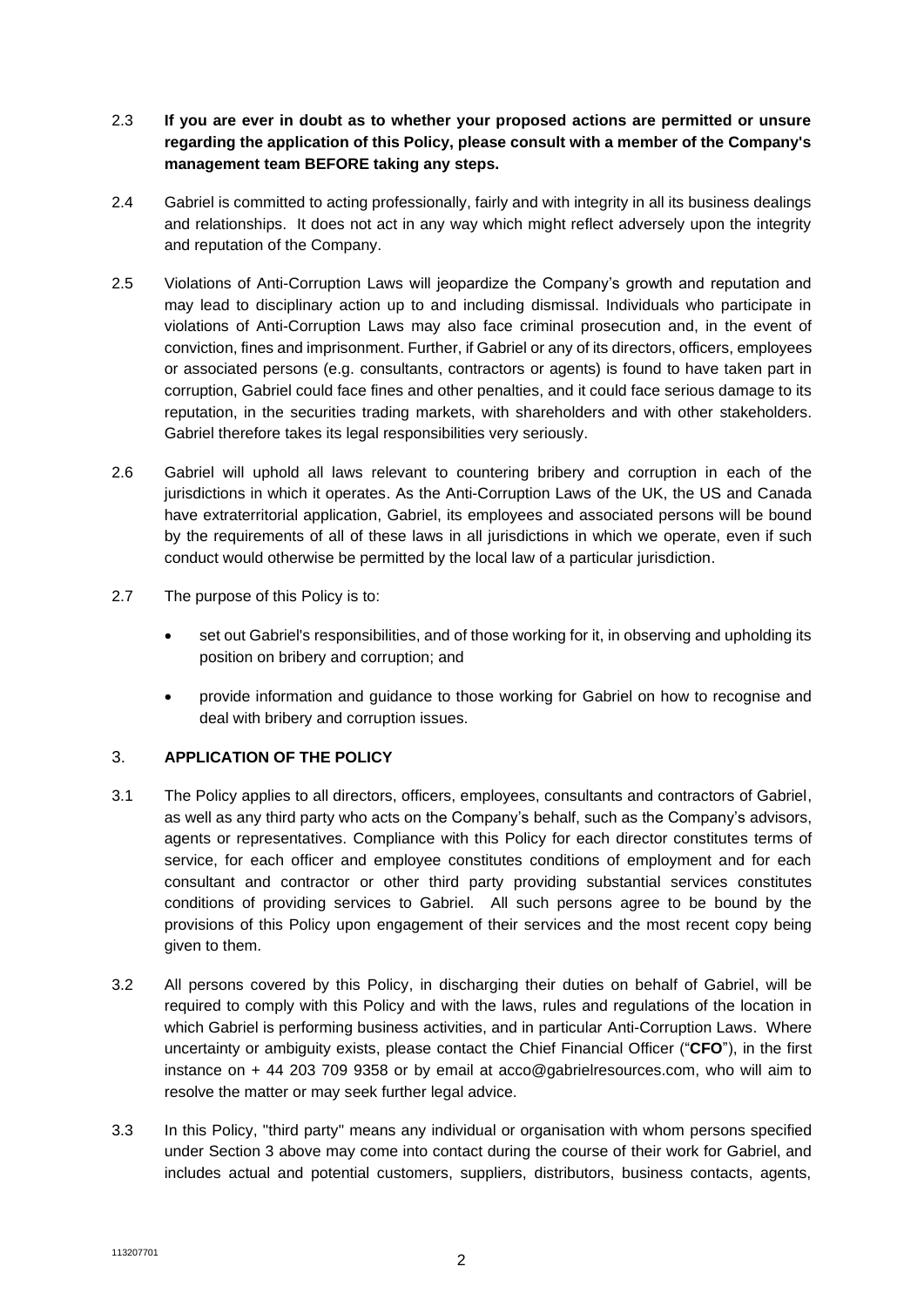- 2.3 **If you are ever in doubt as to whether your proposed actions are permitted or unsure regarding the application of this Policy, please consult with a member of the Company's management team BEFORE taking any steps.**
- 2.4 Gabriel is committed to acting professionally, fairly and with integrity in all its business dealings and relationships. It does not act in any way which might reflect adversely upon the integrity and reputation of the Company.
- 2.5 Violations of Anti-Corruption Laws will jeopardize the Company's growth and reputation and may lead to disciplinary action up to and including dismissal. Individuals who participate in violations of Anti-Corruption Laws may also face criminal prosecution and, in the event of conviction, fines and imprisonment. Further, if Gabriel or any of its directors, officers, employees or associated persons (e.g. consultants, contractors or agents) is found to have taken part in corruption, Gabriel could face fines and other penalties, and it could face serious damage to its reputation, in the securities trading markets, with shareholders and with other stakeholders. Gabriel therefore takes its legal responsibilities very seriously.
- 2.6 Gabriel will uphold all laws relevant to countering bribery and corruption in each of the jurisdictions in which it operates. As the Anti-Corruption Laws of the UK, the US and Canada have extraterritorial application, Gabriel, its employees and associated persons will be bound by the requirements of all of these laws in all jurisdictions in which we operate, even if such conduct would otherwise be permitted by the local law of a particular jurisdiction.
- 2.7 The purpose of this Policy is to:
	- set out Gabriel's responsibilities, and of those working for it, in observing and upholding its position on bribery and corruption; and
	- provide information and guidance to those working for Gabriel on how to recognise and deal with bribery and corruption issues.

# 3. **APPLICATION OF THE POLICY**

- <span id="page-1-0"></span>3.1 The Policy applies to all directors, officers, employees, consultants and contractors of Gabriel, as well as any third party who acts on the Company's behalf, such as the Company's advisors, agents or representatives. Compliance with this Policy for each director constitutes terms of service, for each officer and employee constitutes conditions of employment and for each consultant and contractor or other third party providing substantial services constitutes conditions of providing services to Gabriel. All such persons agree to be bound by the provisions of this Policy upon engagement of their services and the most recent copy being given to them.
- 3.2 All persons covered by this Policy, in discharging their duties on behalf of Gabriel, will be required to comply with this Policy and with the laws, rules and regulations of the location in which Gabriel is performing business activities, and in particular Anti-Corruption Laws. Where uncertainty or ambiguity exists, please contact the Chief Financial Officer ("**CFO**"), in the first instance on + 44 203 709 9358 or by email at acco@gabrielresources.com, who will aim to resolve the matter or may seek further legal advice.
- 3.3 In this Policy, "third party" means any individual or organisation with whom persons specified under Section [3](#page-1-0) above may come into contact during the course of their work for Gabriel, and includes actual and potential customers, suppliers, distributors, business contacts, agents,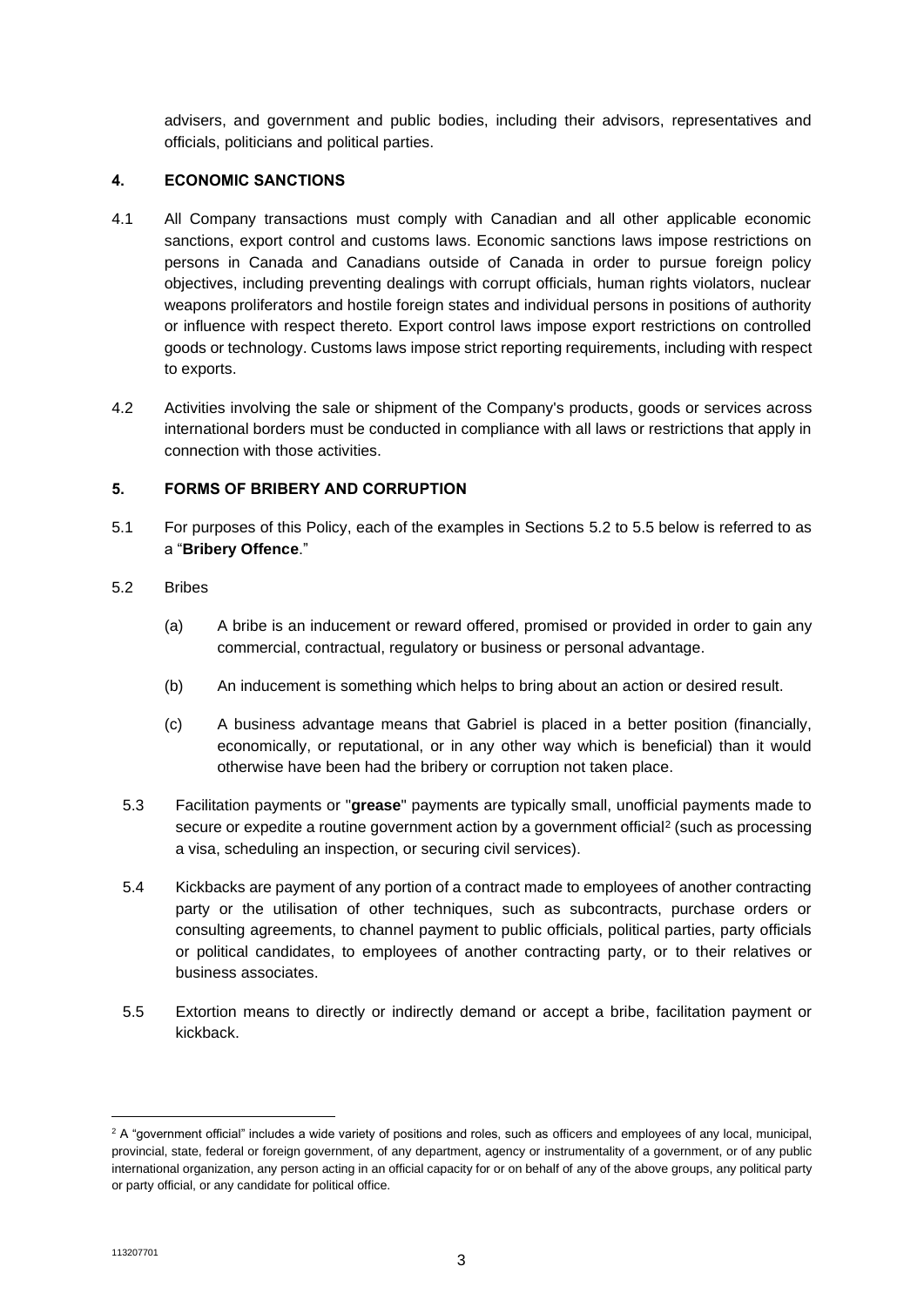advisers, and government and public bodies, including their advisors, representatives and officials, politicians and political parties.

# **4. ECONOMIC SANCTIONS**

- 4.1 All Company transactions must comply with Canadian and all other applicable economic sanctions, export control and customs laws. Economic sanctions laws impose restrictions on persons in Canada and Canadians outside of Canada in order to pursue foreign policy objectives, including preventing dealings with corrupt officials, human rights violators, nuclear weapons proliferators and hostile foreign states and individual persons in positions of authority or influence with respect thereto. Export control laws impose export restrictions on controlled goods or technology. Customs laws impose strict reporting requirements, including with respect to exports.
- 4.2 Activities involving the sale or shipment of the Company's products, goods or services across international borders must be conducted in compliance with all laws or restrictions that apply in connection with those activities.

# **5. FORMS OF BRIBERY AND CORRUPTION**

- 5.1 For purposes of this Policy, each of the examples in Sections [5.2](#page-2-0) to [5.5](#page-2-1) below is referred to as a "**Bribery Offence**."
- <span id="page-2-0"></span>5.2 Bribes
	- (a) A bribe is an inducement or reward offered, promised or provided in order to gain any commercial, contractual, regulatory or business or personal advantage.
	- (b) An inducement is something which helps to bring about an action or desired result.
	- (c) A business advantage means that Gabriel is placed in a better position (financially, economically, or reputational, or in any other way which is beneficial) than it would otherwise have been had the bribery or corruption not taken place.
	- 5.3 Facilitation payments or "**grease**" payments are typically small, unofficial payments made to secure or expedite a routine government action by a government official<sup>2</sup> (such as processing a visa, scheduling an inspection, or securing civil services).
	- 5.4 Kickbacks are payment of any portion of a contract made to employees of another contracting party or the utilisation of other techniques, such as subcontracts, purchase orders or consulting agreements, to channel payment to public officials, political parties, party officials or political candidates, to employees of another contracting party, or to their relatives or business associates.
	- 5.5 Extortion means to directly or indirectly demand or accept a bribe, facilitation payment or kickback.

<span id="page-2-1"></span> $2$  A "government official" includes a wide variety of positions and roles, such as officers and employees of any local, municipal, provincial, state, federal or foreign government, of any department, agency or instrumentality of a government, or of any public international organization, any person acting in an official capacity for or on behalf of any of the above groups, any political party or party official, or any candidate for political office.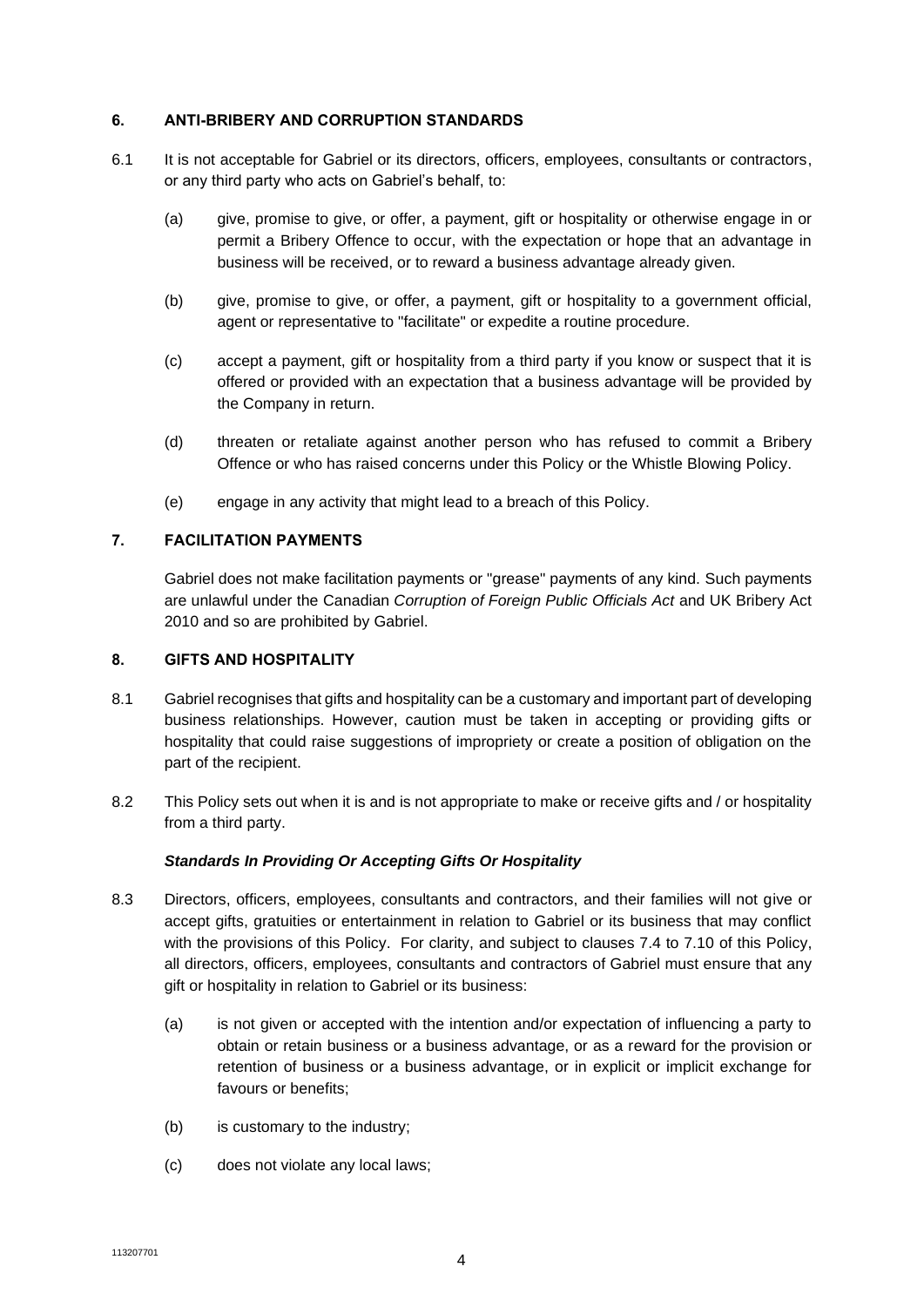## **6. ANTI-BRIBERY AND CORRUPTION STANDARDS**

- 6.1 It is not acceptable for Gabriel or its directors, officers, employees, consultants or contractors, or any third party who acts on Gabriel's behalf, to:
	- (a) give, promise to give, or offer, a payment, gift or hospitality or otherwise engage in or permit a Bribery Offence to occur, with the expectation or hope that an advantage in business will be received, or to reward a business advantage already given.
	- (b) give, promise to give, or offer, a payment, gift or hospitality to a government official, agent or representative to "facilitate" or expedite a routine procedure.
	- (c) accept a payment, gift or hospitality from a third party if you know or suspect that it is offered or provided with an expectation that a business advantage will be provided by the Company in return.
	- (d) threaten or retaliate against another person who has refused to commit a Bribery Offence or who has raised concerns under this Policy or the Whistle Blowing Policy.
	- (e) engage in any activity that might lead to a breach of this Policy.

# **7. FACILITATION PAYMENTS**

Gabriel does not make facilitation payments or "grease" payments of any kind. Such payments are unlawful under the Canadian *Corruption of Foreign Public Officials Act* and UK Bribery Act 2010 and so are prohibited by Gabriel.

## **8. GIFTS AND HOSPITALITY**

- 8.1 Gabriel recognises that gifts and hospitality can be a customary and important part of developing business relationships. However, caution must be taken in accepting or providing gifts or hospitality that could raise suggestions of impropriety or create a position of obligation on the part of the recipient.
- 8.2 This Policy sets out when it is and is not appropriate to make or receive gifts and / or hospitality from a third party.

## *Standards In Providing Or Accepting Gifts Or Hospitality*

- 8.3 Directors, officers, employees, consultants and contractors, and their families will not give or accept gifts, gratuities or entertainment in relation to Gabriel or its business that may conflict with the provisions of this Policy. For clarity, and subject to clauses 7.4 to 7.10 of this Policy, all directors, officers, employees, consultants and contractors of Gabriel must ensure that any gift or hospitality in relation to Gabriel or its business:
	- (a) is not given or accepted with the intention and/or expectation of influencing a party to obtain or retain business or a business advantage, or as a reward for the provision or retention of business or a business advantage, or in explicit or implicit exchange for favours or benefits;
	- (b) is customary to the industry;
	- (c) does not violate any local laws;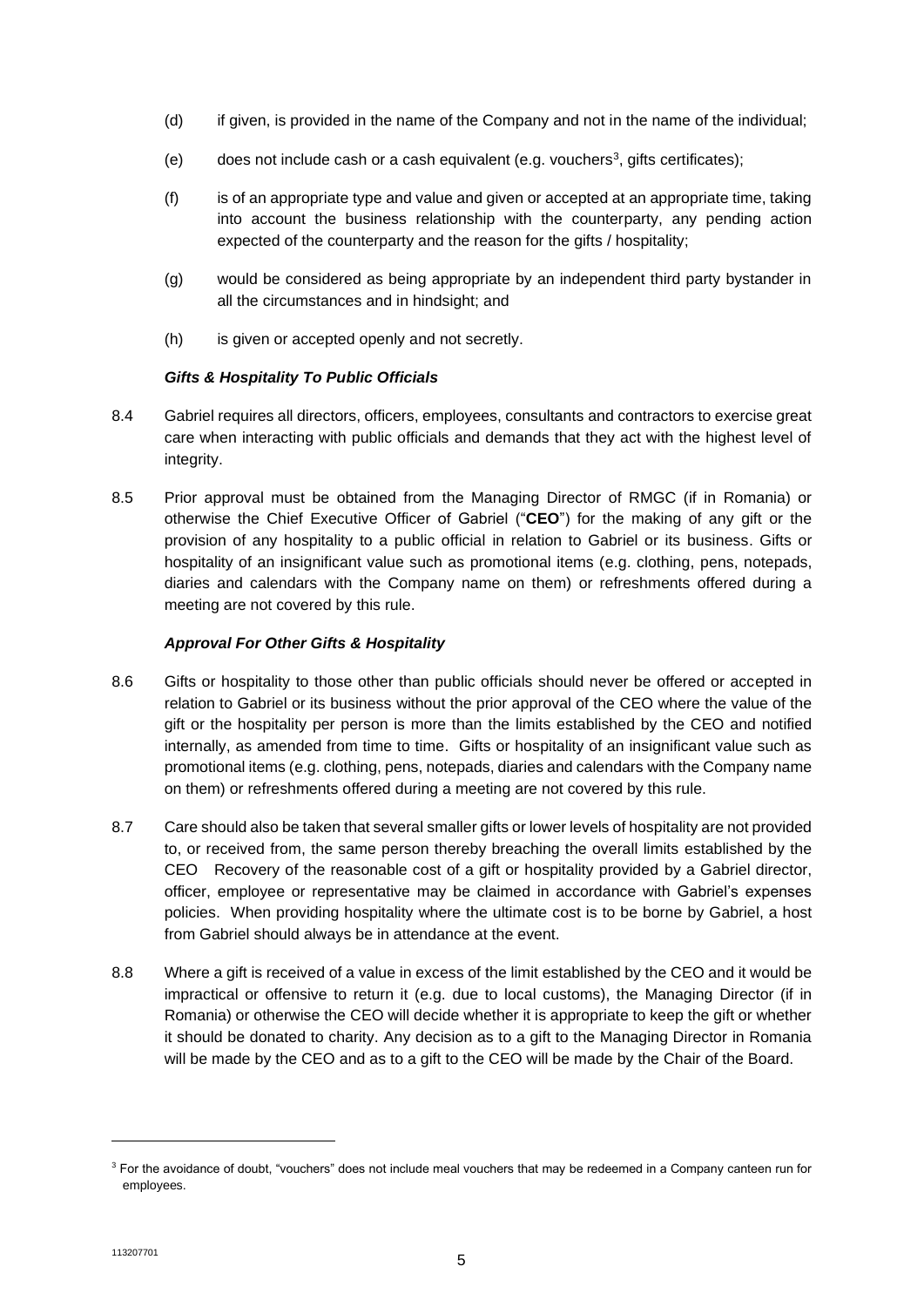- (d) if given, is provided in the name of the Company and not in the name of the individual;
- (e) does not include cash or a cash equivalent (e.g. vouchers<sup>3</sup>, gifts certificates);
- (f) is of an appropriate type and value and given or accepted at an appropriate time, taking into account the business relationship with the counterparty, any pending action expected of the counterparty and the reason for the gifts / hospitality:
- (g) would be considered as being appropriate by an independent third party bystander in all the circumstances and in hindsight; and
- (h) is given or accepted openly and not secretly.

# *Gifts & Hospitality To Public Officials*

- 8.4 Gabriel requires all directors, officers, employees, consultants and contractors to exercise great care when interacting with public officials and demands that they act with the highest level of integrity.
- 8.5 Prior approval must be obtained from the Managing Director of RMGC (if in Romania) or otherwise the Chief Executive Officer of Gabriel ("**CEO**") for the making of any gift or the provision of any hospitality to a public official in relation to Gabriel or its business. Gifts or hospitality of an insignificant value such as promotional items (e.g. clothing, pens, notepads, diaries and calendars with the Company name on them) or refreshments offered during a meeting are not covered by this rule.

# *Approval For Other Gifts & Hospitality*

- 8.6 Gifts or hospitality to those other than public officials should never be offered or accepted in relation to Gabriel or its business without the prior approval of the CEO where the value of the gift or the hospitality per person is more than the limits established by the CEO and notified internally, as amended from time to time. Gifts or hospitality of an insignificant value such as promotional items (e.g. clothing, pens, notepads, diaries and calendars with the Company name on them) or refreshments offered during a meeting are not covered by this rule.
- 8.7 Care should also be taken that several smaller gifts or lower levels of hospitality are not provided to, or received from, the same person thereby breaching the overall limits established by the CEO Recovery of the reasonable cost of a gift or hospitality provided by a Gabriel director, officer, employee or representative may be claimed in accordance with Gabriel's expenses policies. When providing hospitality where the ultimate cost is to be borne by Gabriel, a host from Gabriel should always be in attendance at the event.
- 8.8 Where a gift is received of a value in excess of the limit established by the CEO and it would be impractical or offensive to return it (e.g. due to local customs), the Managing Director (if in Romania) or otherwise the CEO will decide whether it is appropriate to keep the gift or whether it should be donated to charity. Any decision as to a gift to the Managing Director in Romania will be made by the CEO and as to a gift to the CEO will be made by the Chair of the Board.

<sup>&</sup>lt;sup>3</sup> For the avoidance of doubt, "vouchers" does not include meal vouchers that may be redeemed in a Company canteen run for employees.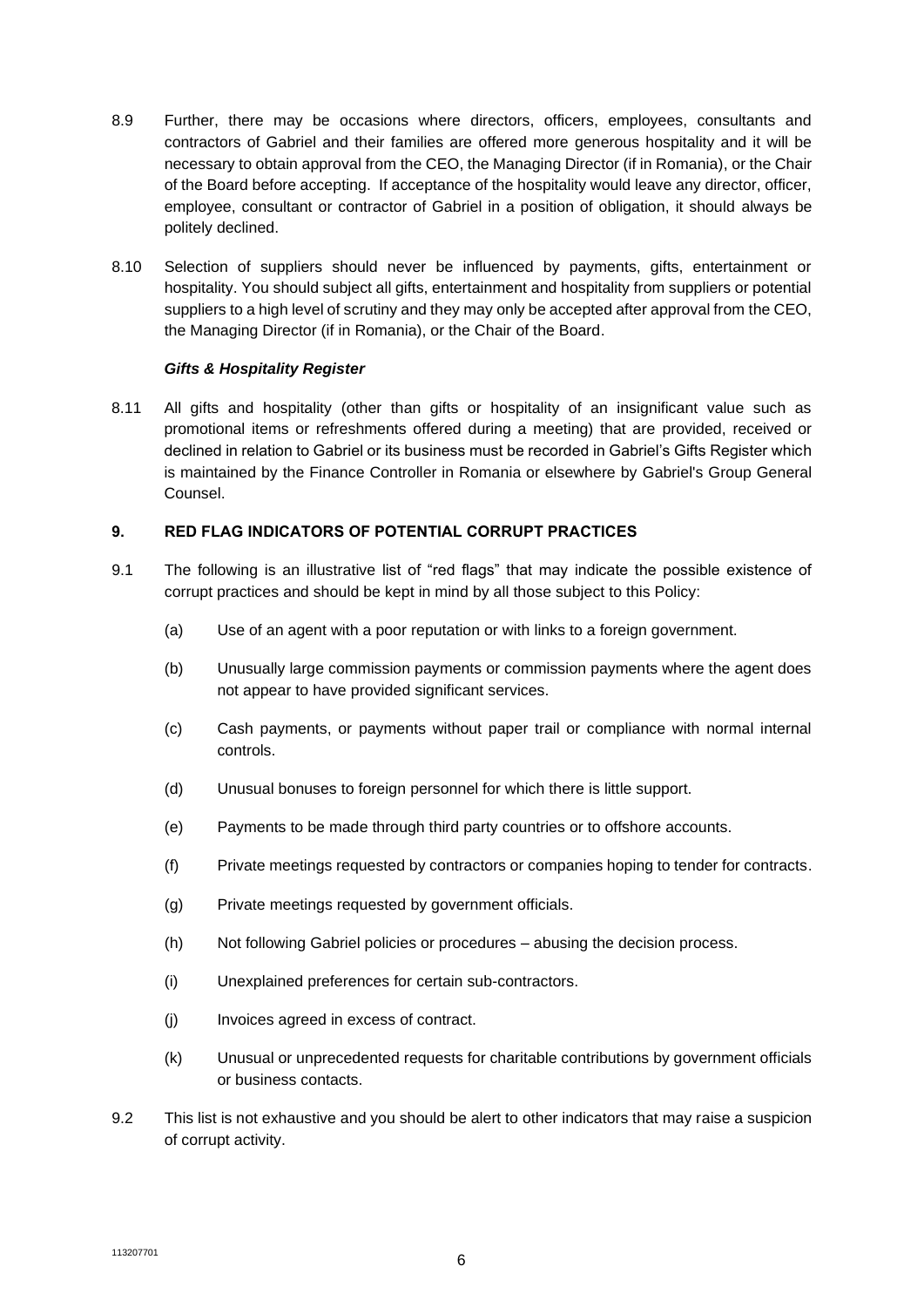- 8.9 Further, there may be occasions where directors, officers, employees, consultants and contractors of Gabriel and their families are offered more generous hospitality and it will be necessary to obtain approval from the CEO, the Managing Director (if in Romania), or the Chair of the Board before accepting. If acceptance of the hospitality would leave any director, officer, employee, consultant or contractor of Gabriel in a position of obligation, it should always be politely declined.
- 8.10 Selection of suppliers should never be influenced by payments, gifts, entertainment or hospitality. You should subject all gifts, entertainment and hospitality from suppliers or potential suppliers to a high level of scrutiny and they may only be accepted after approval from the CEO, the Managing Director (if in Romania), or the Chair of the Board.

## *Gifts & Hospitality Register*

8.11 All gifts and hospitality (other than gifts or hospitality of an insignificant value such as promotional items or refreshments offered during a meeting) that are provided, received or declined in relation to Gabriel or its business must be recorded in Gabriel's Gifts Register which is maintained by the Finance Controller in Romania or elsewhere by Gabriel's Group General Counsel.

## **9. RED FLAG INDICATORS OF POTENTIAL CORRUPT PRACTICES**

- 9.1 The following is an illustrative list of "red flags" that may indicate the possible existence of corrupt practices and should be kept in mind by all those subject to this Policy:
	- (a) Use of an agent with a poor reputation or with links to a foreign government.
	- (b) Unusually large commission payments or commission payments where the agent does not appear to have provided significant services.
	- (c) Cash payments, or payments without paper trail or compliance with normal internal controls.
	- (d) Unusual bonuses to foreign personnel for which there is little support.
	- (e) Payments to be made through third party countries or to offshore accounts.
	- (f) Private meetings requested by contractors or companies hoping to tender for contracts.
	- (g) Private meetings requested by government officials.
	- (h) Not following Gabriel policies or procedures abusing the decision process.
	- (i) Unexplained preferences for certain sub-contractors.
	- (j) Invoices agreed in excess of contract.
	- (k) Unusual or unprecedented requests for charitable contributions by government officials or business contacts.
- 9.2 This list is not exhaustive and you should be alert to other indicators that may raise a suspicion of corrupt activity.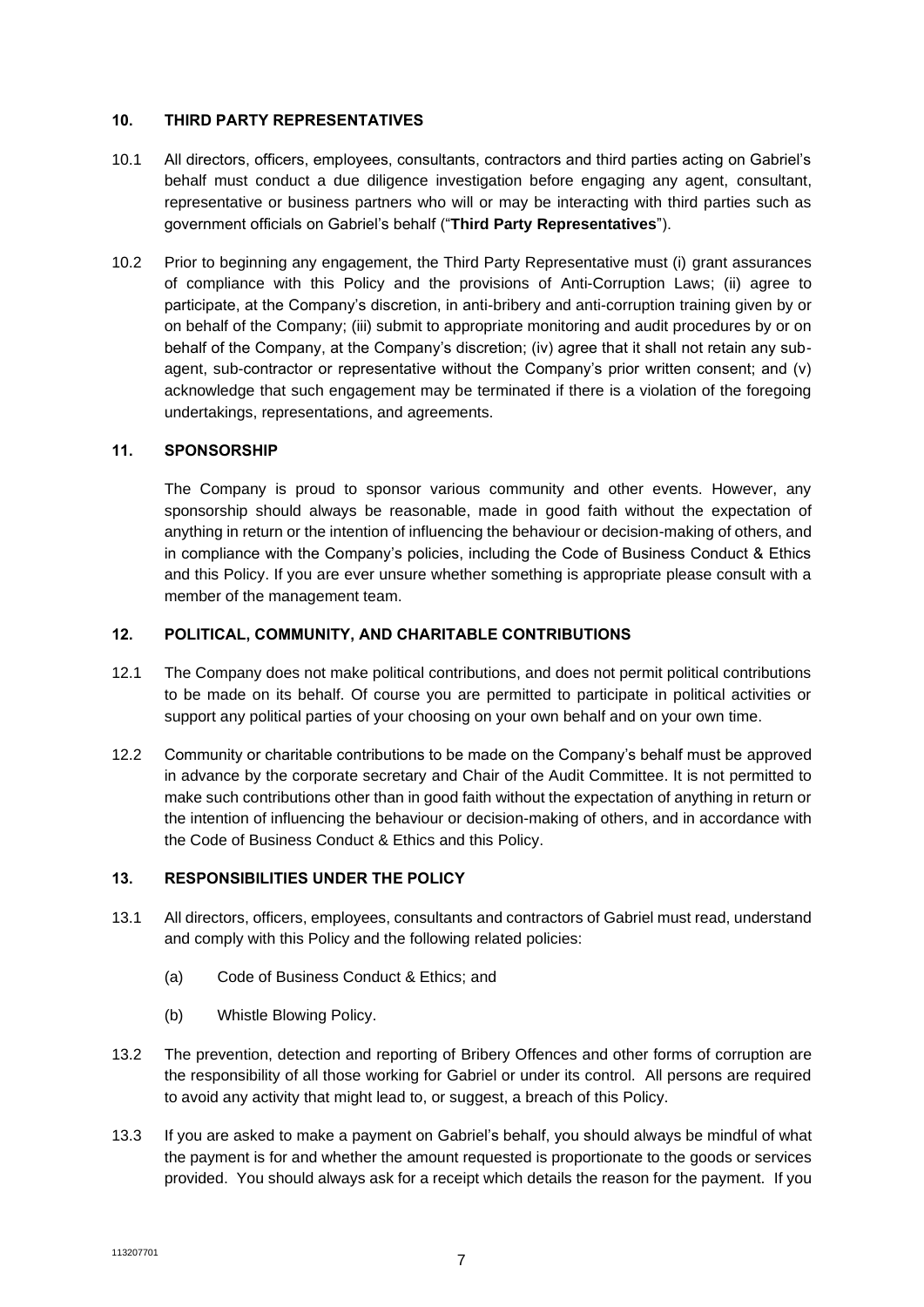### **10. THIRD PARTY REPRESENTATIVES**

- 10.1 All directors, officers, employees, consultants, contractors and third parties acting on Gabriel's behalf must conduct a due diligence investigation before engaging any agent, consultant, representative or business partners who will or may be interacting with third parties such as government officials on Gabriel's behalf ("**Third Party Representatives**").
- 10.2 Prior to beginning any engagement, the Third Party Representative must (i) grant assurances of compliance with this Policy and the provisions of Anti-Corruption Laws; (ii) agree to participate, at the Company's discretion, in anti-bribery and anti-corruption training given by or on behalf of the Company; (iii) submit to appropriate monitoring and audit procedures by or on behalf of the Company, at the Company's discretion; (iv) agree that it shall not retain any subagent, sub-contractor or representative without the Company's prior written consent; and (v) acknowledge that such engagement may be terminated if there is a violation of the foregoing undertakings, representations, and agreements.

#### **11. SPONSORSHIP**

The Company is proud to sponsor various community and other events. However, any sponsorship should always be reasonable, made in good faith without the expectation of anything in return or the intention of influencing the behaviour or decision-making of others, and in compliance with the Company's policies, including the Code of Business Conduct & Ethics and this Policy. If you are ever unsure whether something is appropriate please consult with a member of the management team.

#### **12. POLITICAL, COMMUNITY, AND CHARITABLE CONTRIBUTIONS**

- 12.1 The Company does not make political contributions, and does not permit political contributions to be made on its behalf. Of course you are permitted to participate in political activities or support any political parties of your choosing on your own behalf and on your own time.
- 12.2 Community or charitable contributions to be made on the Company's behalf must be approved in advance by the corporate secretary and Chair of the Audit Committee. It is not permitted to make such contributions other than in good faith without the expectation of anything in return or the intention of influencing the behaviour or decision-making of others, and in accordance with the Code of Business Conduct & Ethics and this Policy.

## **13. RESPONSIBILITIES UNDER THE POLICY**

- 13.1 All directors, officers, employees, consultants and contractors of Gabriel must read, understand and comply with this Policy and the following related policies:
	- (a) Code of Business Conduct & Ethics; and
	- (b) Whistle Blowing Policy.
- 13.2 The prevention, detection and reporting of Bribery Offences and other forms of corruption are the responsibility of all those working for Gabriel or under its control. All persons are required to avoid any activity that might lead to, or suggest, a breach of this Policy.
- 13.3 If you are asked to make a payment on Gabriel's behalf, you should always be mindful of what the payment is for and whether the amount requested is proportionate to the goods or services provided. You should always ask for a receipt which details the reason for the payment. If you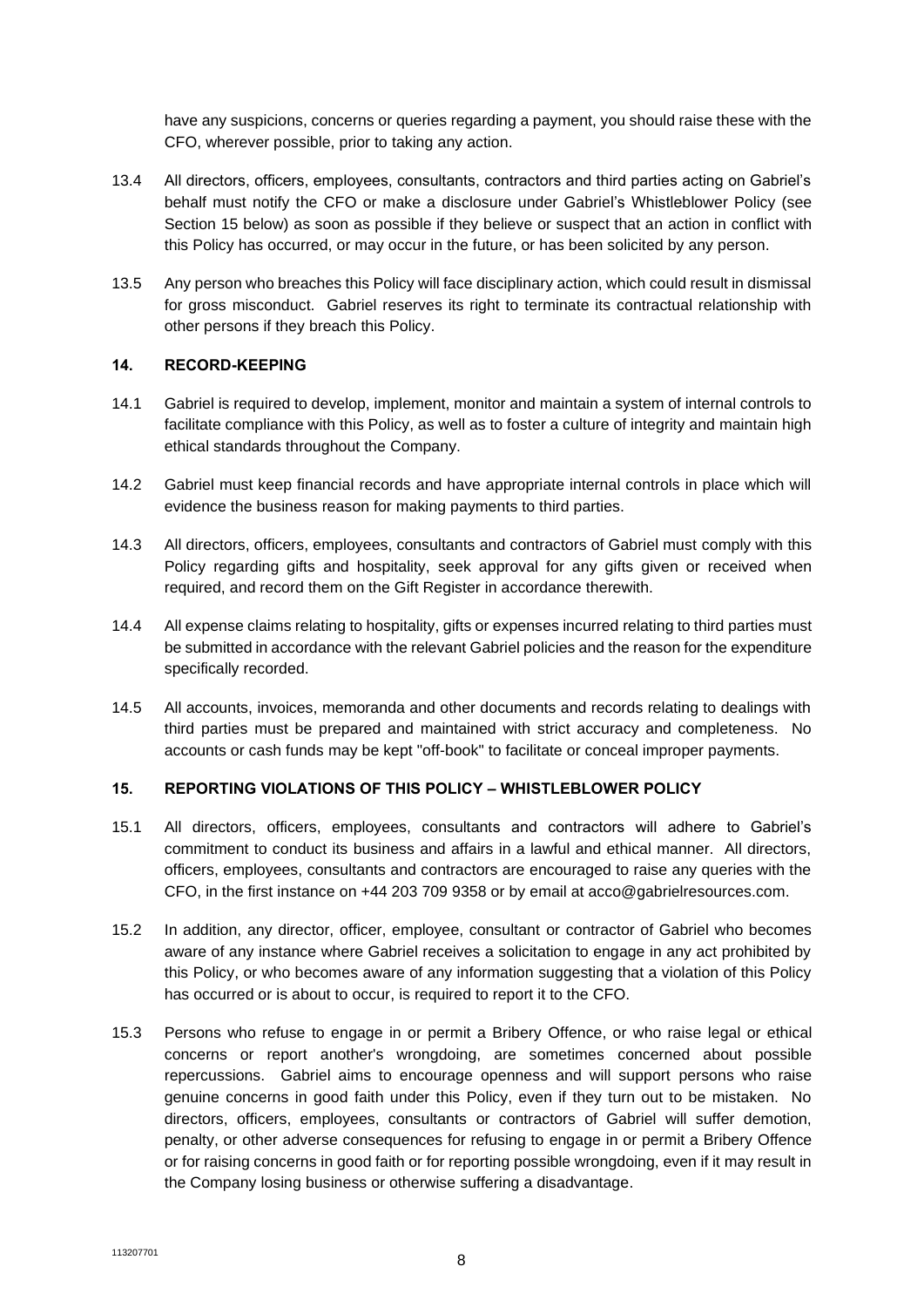have any suspicions, concerns or queries regarding a payment, you should raise these with the CFO, wherever possible, prior to taking any action.

- 13.4 All directors, officers, employees, consultants, contractors and third parties acting on Gabriel's behalf must notify the CFO or make a disclosure under Gabriel's Whistleblower Policy (see Section [15](#page-7-0) below) as soon as possible if they believe or suspect that an action in conflict with this Policy has occurred, or may occur in the future, or has been solicited by any person.
- 13.5 Any person who breaches this Policy will face disciplinary action, which could result in dismissal for gross misconduct. Gabriel reserves its right to terminate its contractual relationship with other persons if they breach this Policy.

#### **14. RECORD-KEEPING**

- 14.1 Gabriel is required to develop, implement, monitor and maintain a system of internal controls to facilitate compliance with this Policy, as well as to foster a culture of integrity and maintain high ethical standards throughout the Company.
- 14.2 Gabriel must keep financial records and have appropriate internal controls in place which will evidence the business reason for making payments to third parties.
- 14.3 All directors, officers, employees, consultants and contractors of Gabriel must comply with this Policy regarding gifts and hospitality, seek approval for any gifts given or received when required, and record them on the Gift Register in accordance therewith.
- 14.4 All expense claims relating to hospitality, gifts or expenses incurred relating to third parties must be submitted in accordance with the relevant Gabriel policies and the reason for the expenditure specifically recorded.
- 14.5 All accounts, invoices, memoranda and other documents and records relating to dealings with third parties must be prepared and maintained with strict accuracy and completeness. No accounts or cash funds may be kept "off-book" to facilitate or conceal improper payments.

# <span id="page-7-0"></span>**15. REPORTING VIOLATIONS OF THIS POLICY – WHISTLEBLOWER POLICY**

- 15.1 All directors, officers, employees, consultants and contractors will adhere to Gabriel's commitment to conduct its business and affairs in a lawful and ethical manner. All directors, officers, employees, consultants and contractors are encouraged to raise any queries with the CFO, in the first instance on +44 203 709 9358 or by email at acco@gabrielresources.com.
- 15.2 In addition, any director, officer, employee, consultant or contractor of Gabriel who becomes aware of any instance where Gabriel receives a solicitation to engage in any act prohibited by this Policy, or who becomes aware of any information suggesting that a violation of this Policy has occurred or is about to occur, is required to report it to the CFO.
- 15.3 Persons who refuse to engage in or permit a Bribery Offence, or who raise legal or ethical concerns or report another's wrongdoing, are sometimes concerned about possible repercussions. Gabriel aims to encourage openness and will support persons who raise genuine concerns in good faith under this Policy, even if they turn out to be mistaken. No directors, officers, employees, consultants or contractors of Gabriel will suffer demotion, penalty, or other adverse consequences for refusing to engage in or permit a Bribery Offence or for raising concerns in good faith or for reporting possible wrongdoing, even if it may result in the Company losing business or otherwise suffering a disadvantage.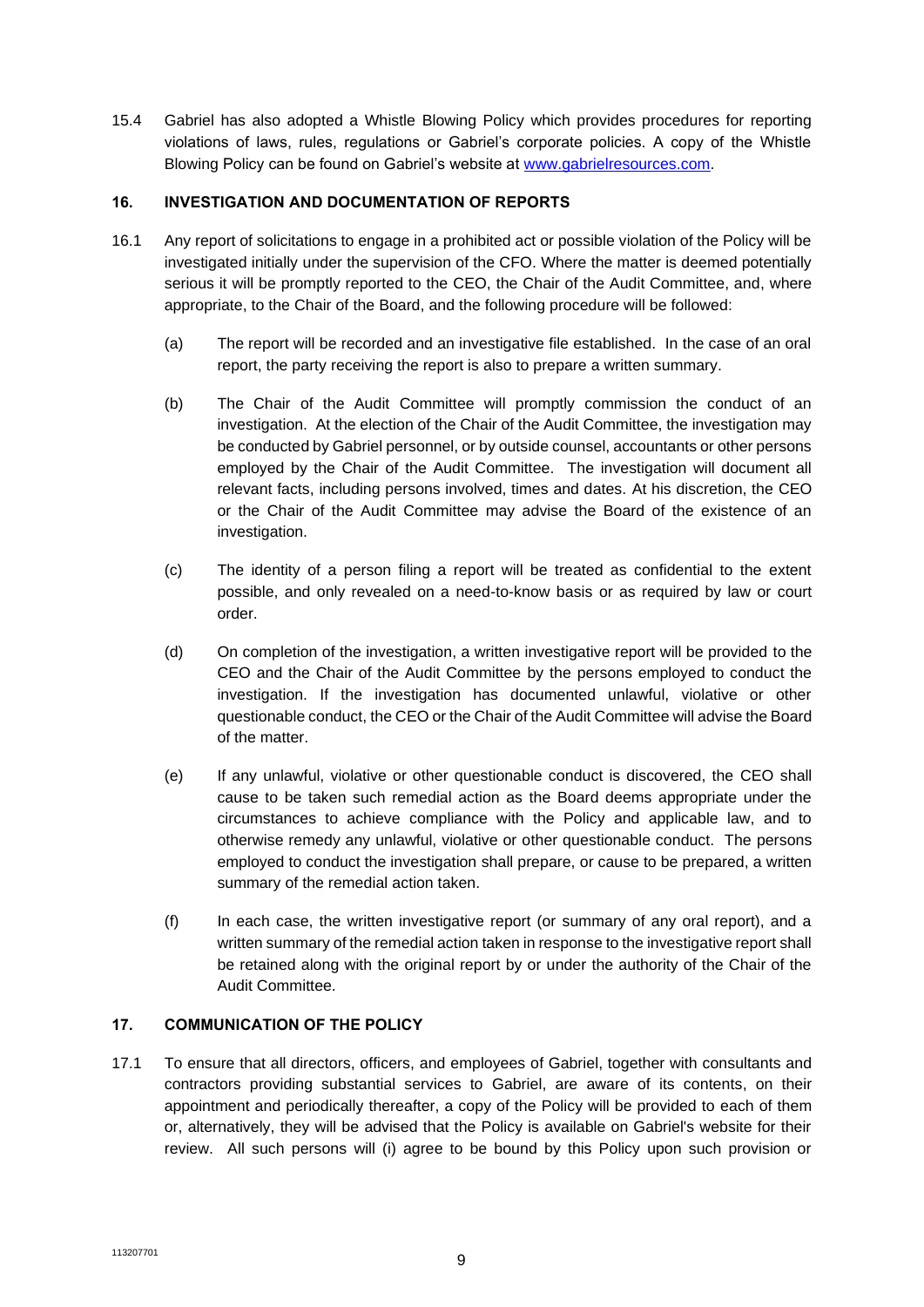15.4 Gabriel has also adopted a Whistle Blowing Policy which provides procedures for reporting violations of laws, rules, regulations or Gabriel's corporate policies. A copy of the Whistle Blowing Policy can be found on Gabriel's website at [www.gabrielresources.com.](http://www.gabrielresources.com/)

# **16. INVESTIGATION AND DOCUMENTATION OF REPORTS**

- 16.1 Any report of solicitations to engage in a prohibited act or possible violation of the Policy will be investigated initially under the supervision of the CFO. Where the matter is deemed potentially serious it will be promptly reported to the CEO, the Chair of the Audit Committee, and, where appropriate, to the Chair of the Board, and the following procedure will be followed:
	- (a) The report will be recorded and an investigative file established. In the case of an oral report, the party receiving the report is also to prepare a written summary.
	- (b) The Chair of the Audit Committee will promptly commission the conduct of an investigation. At the election of the Chair of the Audit Committee, the investigation may be conducted by Gabriel personnel, or by outside counsel, accountants or other persons employed by the Chair of the Audit Committee. The investigation will document all relevant facts, including persons involved, times and dates. At his discretion, the CEO or the Chair of the Audit Committee may advise the Board of the existence of an investigation.
	- (c) The identity of a person filing a report will be treated as confidential to the extent possible, and only revealed on a need-to-know basis or as required by law or court order.
	- (d) On completion of the investigation, a written investigative report will be provided to the CEO and the Chair of the Audit Committee by the persons employed to conduct the investigation. If the investigation has documented unlawful, violative or other questionable conduct, the CEO or the Chair of the Audit Committee will advise the Board of the matter.
	- (e) If any unlawful, violative or other questionable conduct is discovered, the CEO shall cause to be taken such remedial action as the Board deems appropriate under the circumstances to achieve compliance with the Policy and applicable law, and to otherwise remedy any unlawful, violative or other questionable conduct. The persons employed to conduct the investigation shall prepare, or cause to be prepared, a written summary of the remedial action taken.
	- (f) In each case, the written investigative report (or summary of any oral report), and a written summary of the remedial action taken in response to the investigative report shall be retained along with the original report by or under the authority of the Chair of the Audit Committee.

## **17. COMMUNICATION OF THE POLICY**

17.1 To ensure that all directors, officers, and employees of Gabriel, together with consultants and contractors providing substantial services to Gabriel, are aware of its contents, on their appointment and periodically thereafter, a copy of the Policy will be provided to each of them or, alternatively, they will be advised that the Policy is available on Gabriel's website for their review. All such persons will (i) agree to be bound by this Policy upon such provision or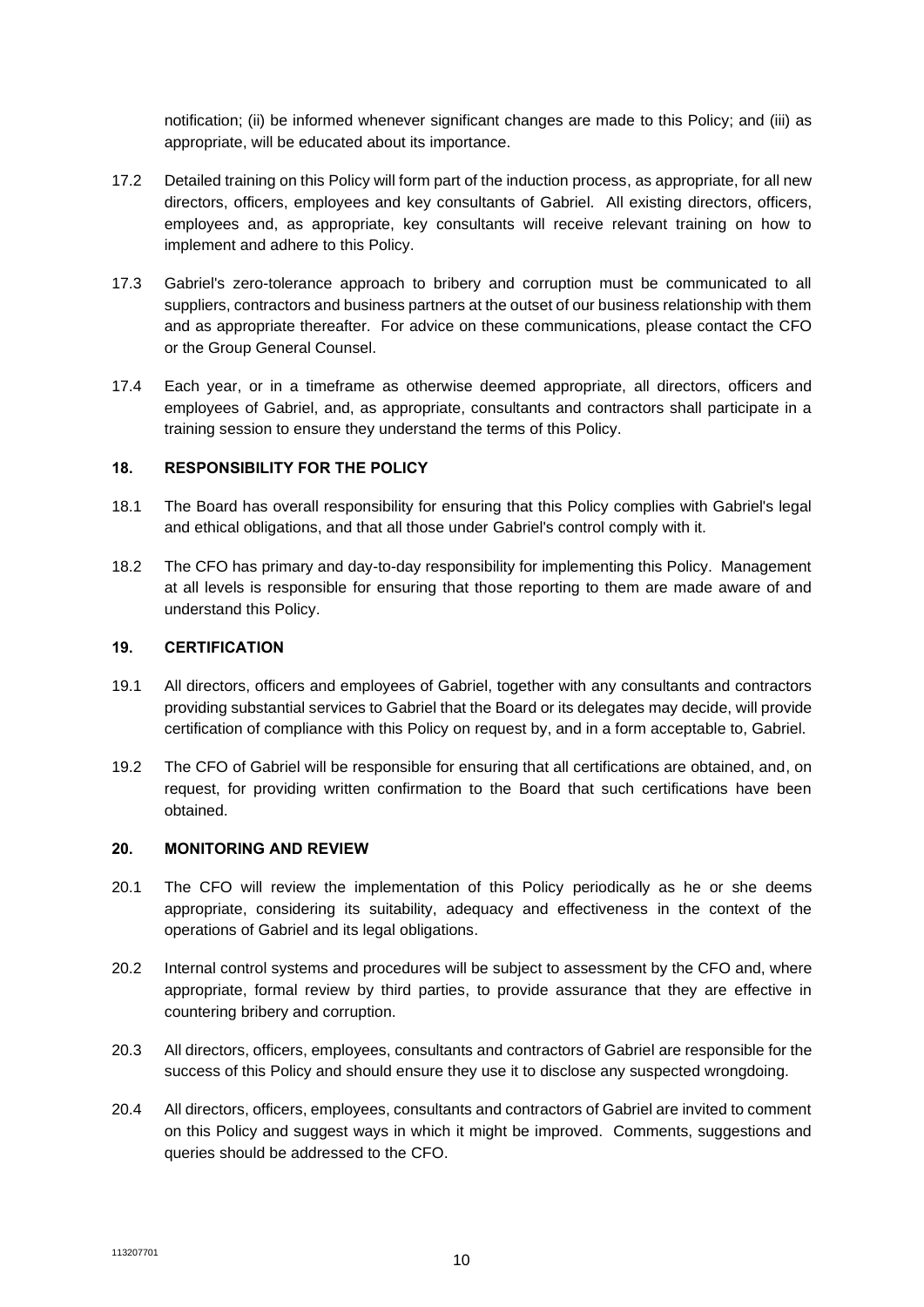notification; (ii) be informed whenever significant changes are made to this Policy; and (iii) as appropriate, will be educated about its importance.

- 17.2 Detailed training on this Policy will form part of the induction process, as appropriate, for all new directors, officers, employees and key consultants of Gabriel. All existing directors, officers, employees and, as appropriate, key consultants will receive relevant training on how to implement and adhere to this Policy.
- 17.3 Gabriel's zero-tolerance approach to bribery and corruption must be communicated to all suppliers, contractors and business partners at the outset of our business relationship with them and as appropriate thereafter. For advice on these communications, please contact the CFO or the Group General Counsel.
- 17.4 Each year, or in a timeframe as otherwise deemed appropriate, all directors, officers and employees of Gabriel, and, as appropriate, consultants and contractors shall participate in a training session to ensure they understand the terms of this Policy.

#### **18. RESPONSIBILITY FOR THE POLICY**

- 18.1 The Board has overall responsibility for ensuring that this Policy complies with Gabriel's legal and ethical obligations, and that all those under Gabriel's control comply with it.
- 18.2 The CFO has primary and day-to-day responsibility for implementing this Policy. Management at all levels is responsible for ensuring that those reporting to them are made aware of and understand this Policy.

### **19. CERTIFICATION**

- 19.1 All directors, officers and employees of Gabriel, together with any consultants and contractors providing substantial services to Gabriel that the Board or its delegates may decide, will provide certification of compliance with this Policy on request by, and in a form acceptable to, Gabriel.
- 19.2 The CFO of Gabriel will be responsible for ensuring that all certifications are obtained, and, on request, for providing written confirmation to the Board that such certifications have been obtained.

#### **20. MONITORING AND REVIEW**

- 20.1 The CFO will review the implementation of this Policy periodically as he or she deems appropriate, considering its suitability, adequacy and effectiveness in the context of the operations of Gabriel and its legal obligations.
- 20.2 Internal control systems and procedures will be subject to assessment by the CFO and, where appropriate, formal review by third parties, to provide assurance that they are effective in countering bribery and corruption.
- 20.3 All directors, officers, employees, consultants and contractors of Gabriel are responsible for the success of this Policy and should ensure they use it to disclose any suspected wrongdoing.
- 20.4 All directors, officers, employees, consultants and contractors of Gabriel are invited to comment on this Policy and suggest ways in which it might be improved. Comments, suggestions and queries should be addressed to the CFO.